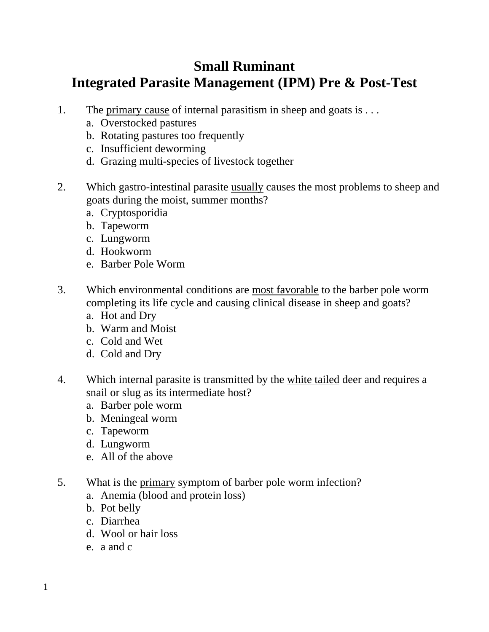## **Small Ruminant Integrated Parasite Management (IPM) Pre & Post-Test**

- 1. The primary cause of internal parasitism in sheep and goats is . . .
	- a. Overstocked pastures
	- b. Rotating pastures too frequently
	- c. Insufficient deworming
	- d. Grazing multi-species of livestock together
- 2. Which gastro-intestinal parasite usually causes the most problems to sheep and goats during the moist, summer months?
	- a. Cryptosporidia
	- b. Tapeworm
	- c. Lungworm
	- d. Hookworm
	- e. Barber Pole Worm
- 3. Which environmental conditions are most favorable to the barber pole worm completing its life cycle and causing clinical disease in sheep and goats?
	- a. Hot and Dry
	- b. Warm and Moist
	- c. Cold and Wet
	- d. Cold and Dry
- 4. Which internal parasite is transmitted by the white tailed deer and requires a snail or slug as its intermediate host?
	- a. Barber pole worm
	- b. Meningeal worm
	- c. Tapeworm
	- d. Lungworm
	- e. All of the above
- 5. What is the primary symptom of barber pole worm infection?
	- a. Anemia (blood and protein loss)
	- b. Pot belly
	- c. Diarrhea
	- d. Wool or hair loss
	- e. a and c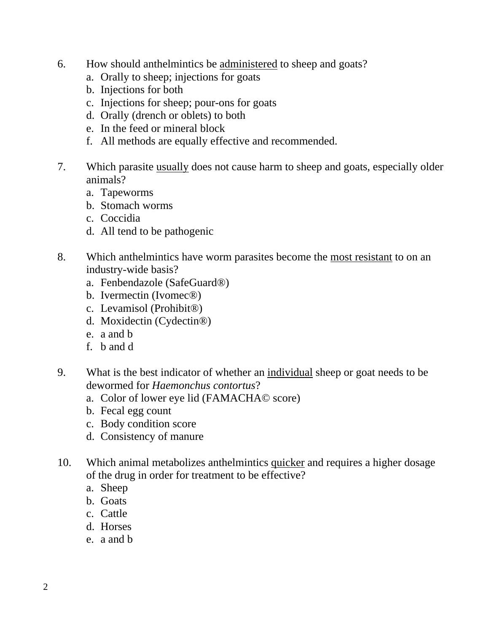- 6. How should anthelmintics be administered to sheep and goats?
	- a. Orally to sheep; injections for goats
	- b. Injections for both
	- c. Injections for sheep; pour-ons for goats
	- d. Orally (drench or oblets) to both
	- e. In the feed or mineral block
	- f. All methods are equally effective and recommended.
- 7. Which parasite usually does not cause harm to sheep and goats, especially older animals?
	- a. Tapeworms
	- b. Stomach worms
	- c. Coccidia
	- d. All tend to be pathogenic
- 8. Which anthelmintics have worm parasites become the most resistant to on an industry-wide basis?
	- a. Fenbendazole (SafeGuard®)
	- b. Ivermectin (Ivomec®)
	- c. Levamisol (Prohibit®)
	- d. Moxidectin (Cydectin®)
	- e. a and b
	- f. b and d
- 9. What is the best indicator of whether an individual sheep or goat needs to be dewormed for *Haemonchus contortus*?
	- a. Color of lower eye lid (FAMACHA© score)
	- b. Fecal egg count
	- c. Body condition score
	- d. Consistency of manure
- 10. Which animal metabolizes anthelmintics quicker and requires a higher dosage of the drug in order for treatment to be effective?
	- a. Sheep
	- b. Goats
	- c. Cattle
	- d. Horses
	- e. a and b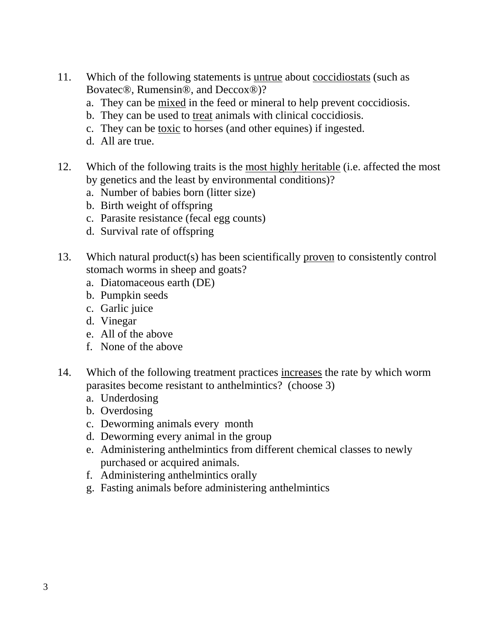- 11. Which of the following statements is untrue about coccidiostats (such as Bovatec®, Rumensin®, and Deccox®)?
	- a. They can be mixed in the feed or mineral to help prevent coccidiosis.
	- b. They can be used to treat animals with clinical coccidiosis.
	- c. They can be toxic to horses (and other equines) if ingested.
	- d. All are true.
- 12. Which of the following traits is the most highly heritable (i.e. affected the most by genetics and the least by environmental conditions)?
	- a. Number of babies born (litter size)
	- b. Birth weight of offspring
	- c. Parasite resistance (fecal egg counts)
	- d. Survival rate of offspring
- 13. Which natural product(s) has been scientifically proven to consistently control stomach worms in sheep and goats?
	- a. Diatomaceous earth (DE)
	- b. Pumpkin seeds
	- c. Garlic juice
	- d. Vinegar
	- e. All of the above
	- f. None of the above
- 14. Which of the following treatment practices increases the rate by which worm parasites become resistant to anthelmintics? (choose 3)
	- a. Underdosing
	- b. Overdosing
	- c. Deworming animals every month
	- d. Deworming every animal in the group
	- e. Administering anthelmintics from different chemical classes to newly purchased or acquired animals.
	- f. Administering anthelmintics orally
	- g. Fasting animals before administering anthelmintics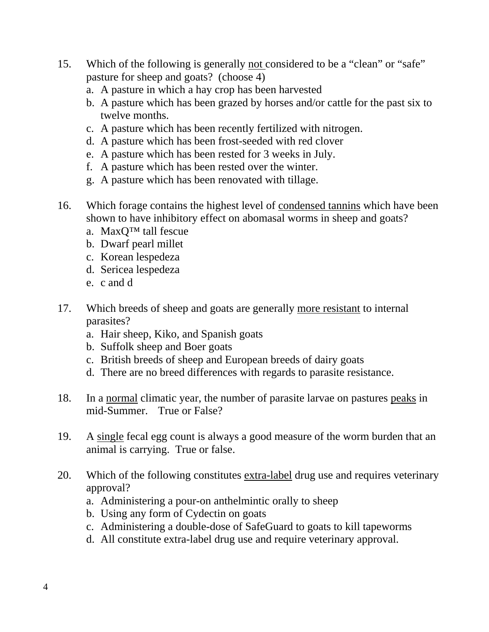- 15. Which of the following is generally not considered to be a "clean" or "safe" pasture for sheep and goats? (choose 4)
	- a. A pasture in which a hay crop has been harvested
	- b. A pasture which has been grazed by horses and/or cattle for the past six to twelve months.
	- c. A pasture which has been recently fertilized with nitrogen.
	- d. A pasture which has been frost-seeded with red clover
	- e. A pasture which has been rested for 3 weeks in July.
	- f. A pasture which has been rested over the winter.
	- g. A pasture which has been renovated with tillage.
- 16. Which forage contains the highest level of condensed tannins which have been shown to have inhibitory effect on abomasal worms in sheep and goats?
	- a. MaxQ™ tall fescue
	- b. Dwarf pearl millet
	- c. Korean lespedeza
	- d. Sericea lespedeza
	- e. c and d
- 17. Which breeds of sheep and goats are generally more resistant to internal parasites?
	- a. Hair sheep, Kiko, and Spanish goats
	- b. Suffolk sheep and Boer goats
	- c. British breeds of sheep and European breeds of dairy goats
	- d. There are no breed differences with regards to parasite resistance.
- 18. In a normal climatic year, the number of parasite larvae on pastures peaks in mid-Summer. True or False?
- 19. A single fecal egg count is always a good measure of the worm burden that an animal is carrying. True or false.
- 20. Which of the following constitutes extra-label drug use and requires veterinary approval?
	- a. Administering a pour-on anthelmintic orally to sheep
	- b. Using any form of Cydectin on goats
	- c. Administering a double-dose of SafeGuard to goats to kill tapeworms
	- d. All constitute extra-label drug use and require veterinary approval.